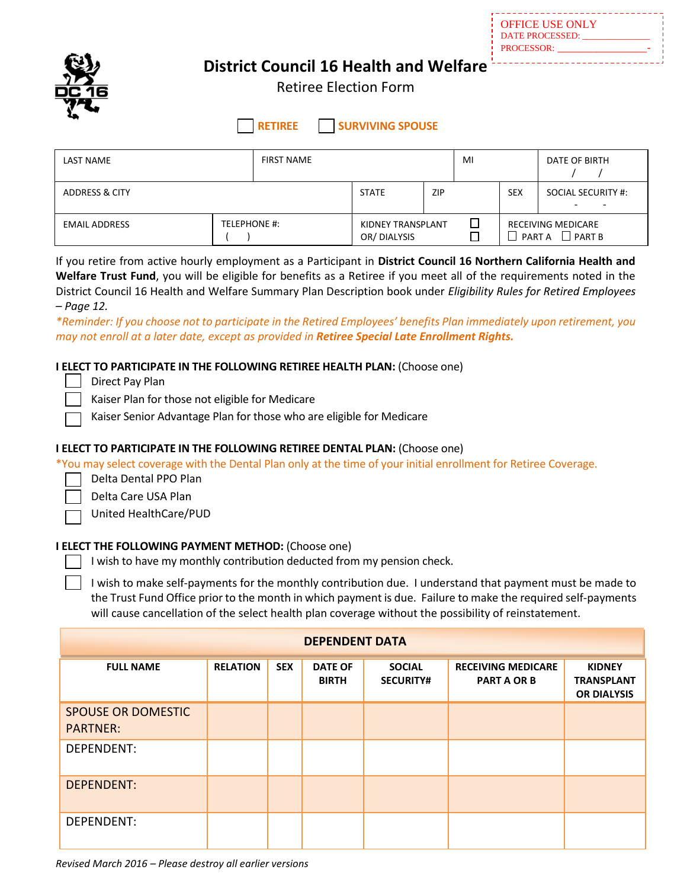OFFICE USE ONLY DATE PROCESSED: PROCESSOR:

 $\overline{a}$ 



# **District Council 16 Health and Welfare**

Retiree Election Form

**RETIREE SURVIVING SPOUSE** 

| LAST NAME                 |              | <b>FIRST NAME</b> |                                         |            | MI |                                                                 | DATE OF BIRTH      |
|---------------------------|--------------|-------------------|-----------------------------------------|------------|----|-----------------------------------------------------------------|--------------------|
| <b>ADDRESS &amp; CITY</b> |              |                   | <b>STATE</b>                            | <b>ZIP</b> |    | <b>SEX</b>                                                      | SOCIAL SECURITY #: |
| <b>EMAIL ADDRESS</b>      | TELEPHONE #: |                   | <b>KIDNEY TRANSPLANT</b><br>OR/DIALYSIS |            |    | RECEIVING MEDICARE<br>$\Box$ PART B<br>PART A<br>$\blacksquare$ |                    |

If you retire from active hourly employment as a Participant in **District Council 16 Northern California Health and Welfare Trust Fund**, you will be eligible for benefits as a Retiree if you meet all of the requirements noted in the District Council 16 Health and Welfare Summary Plan Description book under *Eligibility Rules for Retired Employees – Page 12.*

*\*Reminder: If you choose not to participate in the Retired Employees' benefits Plan immediately upon retirement, you may not enroll at a later date, except as provided in Retiree Special Late Enrollment Rights.*

## **I ELECT TO PARTICIPATE IN THE FOLLOWING RETIREE HEALTH PLAN:** (Choose one)

Direct Pay Plan

Kaiser Plan for those not eligible for Medicare

Kaiser Senior Advantage Plan for those who are eligible for Medicare

### **I ELECT TO PARTICIPATE IN THE FOLLOWING RETIREE DENTAL PLAN:** (Choose one)

\*You may select coverage with the Dental Plan only at the time of your initial enrollment for Retiree Coverage.

Delta Dental PPO Plan

Delta Care USA Plan

United HealthCare/PUD

## **I ELECT THE FOLLOWING PAYMENT METHOD:** (Choose one)

 $\Box$  I wish to have my monthly contribution deducted from my pension check.

I wish to make self-payments for the monthly contribution due. I understand that payment must be made to the Trust Fund Office prior to the month in which payment is due. Failure to make the required self-payments will cause cancellation of the select health plan coverage without the possibility of reinstatement.

| <b>DEPENDENT DATA</b>                        |                 |            |                                |                                   |                                                 |                                                          |  |  |
|----------------------------------------------|-----------------|------------|--------------------------------|-----------------------------------|-------------------------------------------------|----------------------------------------------------------|--|--|
| <b>FULL NAME</b>                             | <b>RELATION</b> | <b>SEX</b> | <b>DATE OF</b><br><b>BIRTH</b> | <b>SOCIAL</b><br><b>SECURITY#</b> | <b>RECEIVING MEDICARE</b><br><b>PART A OR B</b> | <b>KIDNEY</b><br><b>TRANSPLANT</b><br><b>OR DIALYSIS</b> |  |  |
| <b>SPOUSE OR DOMESTIC</b><br><b>PARTNER:</b> |                 |            |                                |                                   |                                                 |                                                          |  |  |
| DEPENDENT:                                   |                 |            |                                |                                   |                                                 |                                                          |  |  |
| <b>DEPENDENT:</b>                            |                 |            |                                |                                   |                                                 |                                                          |  |  |
| DEPENDENT:                                   |                 |            |                                |                                   |                                                 |                                                          |  |  |